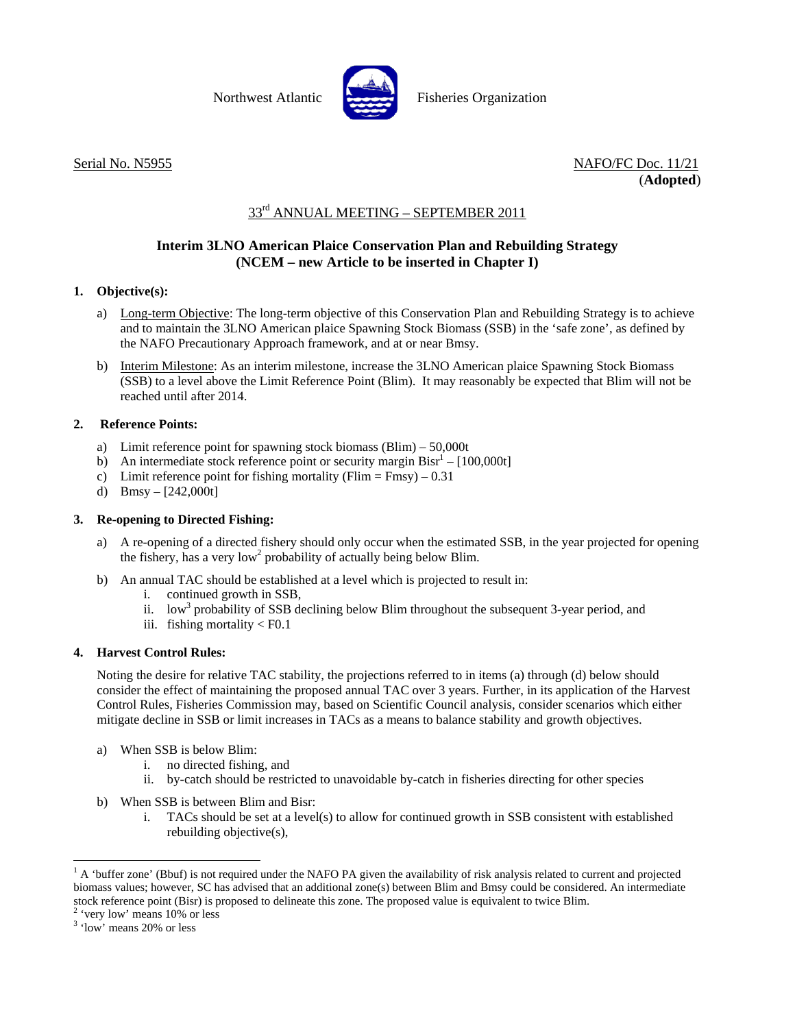

Northwest Atlantic **Report Fisheries Organization** 

Serial No. N5955 NAFO/FC Doc. 11/21 (**Adopted**)

# $33<sup>rd</sup>$  ANNUAL MEETING – SEPTEMBER 2011

## **Interim 3LNO American Plaice Conservation Plan and Rebuilding Strategy (NCEM – new Article to be inserted in Chapter I)**

### **1. Objective(s):**

- a) Long-term Objective: The long-term objective of this Conservation Plan and Rebuilding Strategy is to achieve and to maintain the 3LNO American plaice Spawning Stock Biomass (SSB) in the 'safe zone', as defined by the NAFO Precautionary Approach framework, and at or near Bmsy.
- b) Interim Milestone: As an interim milestone, increase the 3LNO American plaice Spawning Stock Biomass (SSB) to a level above the Limit Reference Point (Blim). It may reasonably be expected that Blim will not be reached until after 2014.

### **2. Reference Points:**

- a) Limit reference point for spawning stock biomass (Blim) 50,000t
- b) An intermediate stock reference point or security margin  $\text{Bisr}^1 [100,000t]$
- c) Limit reference point for fishing mortality (Flim  $=$  Fmsy) 0.31
- d) Bmsy  $[242,000t]$

#### **3. Re-opening to Directed Fishing:**

- a) A re-opening of a directed fishery should only occur when the estimated SSB, in the year projected for opening the fishery, has a very low<sup>2</sup> probability of actually being below Blim.
- b) An annual TAC should be established at a level which is projected to result in:
	- i. continued growth in SSB,
	- ii. low<sup>3</sup> probability of SSB declining below Blim throughout the subsequent 3-year period, and
	- iii. fishing mortality  $\langle$  F0.1

### **4. Harvest Control Rules:**

Noting the desire for relative TAC stability, the projections referred to in items (a) through (d) below should consider the effect of maintaining the proposed annual TAC over 3 years. Further, in its application of the Harvest Control Rules, Fisheries Commission may, based on Scientific Council analysis, consider scenarios which either mitigate decline in SSB or limit increases in TACs as a means to balance stability and growth objectives.

- a) When SSB is below Blim:
	- i. no directed fishing, and
	- ii. by-catch should be restricted to unavoidable by-catch in fisheries directing for other species
- b) When SSB is between Blim and Bisr:
	- i. TACs should be set at a level(s) to allow for continued growth in SSB consistent with established rebuilding objective(s),

l

 $<sup>1</sup>$  A 'buffer zone' (Bbuf) is not required under the NAFO PA given the availability of risk analysis related to current and projected</sup> biomass values; however, SC has advised that an additional zone(s) between Blim and Bmsy could be considered. An intermediate stock reference point (Bisr) is proposed to delineate this zone. The proposed value is equivalent to twice Blim. 2

<sup>&</sup>lt;sup>2</sup> 'very low' means 10% or less

<sup>&</sup>lt;sup>3</sup> 'low' means 20% or less